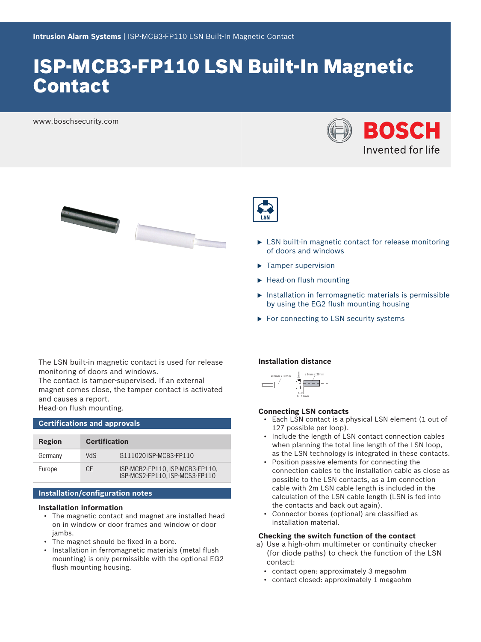## ISP-MCB3-FP110 LSN Built-In Magnetic Contact

www.boschsecurity.com







- $\triangleright$  LSN built-in magnetic contact for release monitoring of doors and windows
- $\blacktriangleright$  Tamper supervision
- $\blacktriangleright$  Head-on flush mounting
- $\triangleright$  Installation in ferromagnetic materials is permissible by using the EG2 flush mounting housing
- $\blacktriangleright$  For connecting to LSN security systems

The LSN built-in magnetic contact is used for release monitoring of doors and windows.

The contact is tamper-supervised. If an external magnet comes close, the tamper contact is activated and causes a report.

Head-on flush mounting.

#### **Certifications and approvals**

| Region  | <b>Certification</b> |                                                                   |
|---------|----------------------|-------------------------------------------------------------------|
| Germany | <b>VdS</b>           | G111020 ISP-MCB3-FP110                                            |
| Europe  | CF                   | ISP-MCB2-FP110, ISP-MCB3-FP110,<br>ISP-MCS2-FP110. ISP-MCS3-FP110 |

#### **Installation/configuration notes**

#### **Installation information**

- The magnetic contact and magnet are installed head on in window or door frames and window or door jambs.
- The magnet should be fixed in a bore.
- Installation in ferromagnetic materials (metal flush mounting) is only permissible with the optional EG2 flush mounting housing.

#### **Installation distance**



#### **Connecting LSN contacts**

- Each LSN contact is a physical LSN element (1 out of 127 possible per loop).
- Include the length of LSN contact connection cables when planning the total line length of the LSN loop, as the LSN technology is integrated in these contacts.
- Position passive elements for connecting the connection cables to the installation cable as close as possible to the LSN contacts, as a 1m connection cable with 2m LSN cable length is included in the calculation of the LSN cable length (LSN is fed into the contacts and back out again).
- Connector boxes (optional) are classified as installation material.

### **Checking the switch function of the contact**

- a) Use a high-ohm multimeter or continuity checker (for diode paths) to check the function of the LSN contact:
	- contact open: approximately 3 megaohm
	- contact closed: approximately 1 megaohm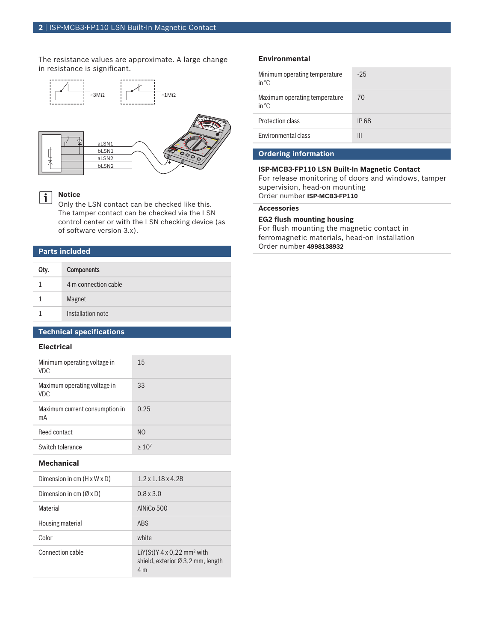The resistance values are approximate. A large change in resistance is significant.



#### **Notice**

 $\mathbf i$ 

Only the LSN contact can be checked like this. The tamper contact can be checked via the LSN control center or with the LSN checking device (as of software version 3.x).

#### **Parts included**

| Qty. | <b>Components</b>    |
|------|----------------------|
|      | 4 m connection cable |
|      | Magnet               |
|      | Installation note    |

#### **Technical specifications**

#### **Electrical**

| Minimum operating voltage in<br><b>VDC</b> | 15             |
|--------------------------------------------|----------------|
| Maximum operating voltage in<br><b>VDC</b> | 33             |
| Maximum current consumption in<br>mA       | 0.25           |
| Reed contact                               | N <sub>O</sub> |
| Switch tolerance                           | >10'           |

#### **Mechanical**

| Dimension in cm $(H \times W \times D)$ | $1.2 \times 1.18 \times 4.28$                                                                                    |
|-----------------------------------------|------------------------------------------------------------------------------------------------------------------|
| Dimension in cm $(\emptyset \times D)$  | $0.8 \times 3.0$                                                                                                 |
| Material                                | AIN $i$ Co 500                                                                                                   |
| Housing material                        | <b>ARS</b>                                                                                                       |
| Color                                   | white                                                                                                            |
| Connection cable                        | LiY(St)Y $4 \times 0.22$ mm <sup>2</sup> with<br>shield, exterior $\varnothing$ 3,2 mm, length<br>4 <sub>m</sub> |

#### **Environmental**

| Minimum operating temperature<br>in ${}^{\circ}C$ | $-25$        |
|---------------------------------------------------|--------------|
| Maximum operating temperature<br>in ${}^{\circ}C$ | 70           |
| Protection class                                  | <b>IP 68</b> |
| <b>Environmental class</b>                        | Ш            |
|                                                   |              |

#### **Ordering information**

#### **ISP-MCB3-FP110 LSN Built-In Magnetic Contact**

For release monitoring of doors and windows, tamper supervision, head-on mounting Order number **ISP-MCB3-FP110**

#### **Accessories**

#### **EG2 flush mounting housing**

For flush mounting the magnetic contact in ferromagnetic materials, head-on installation Order number **4998138932**